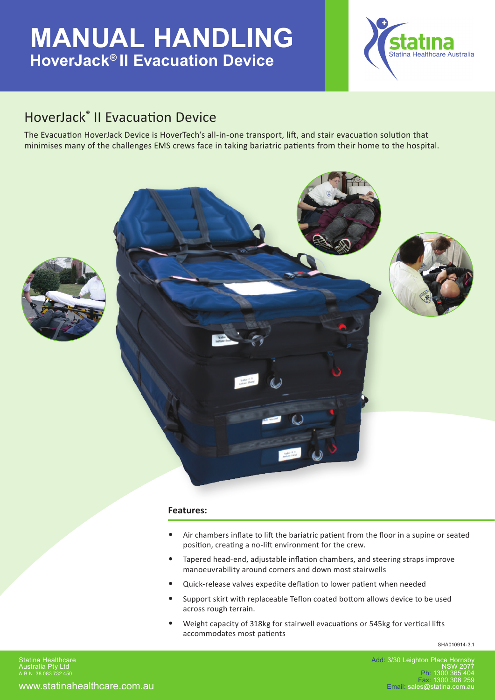# **MANUAL HANDLING HoverJack® II Evacuation Device**



### HoverJack® II Evacuation Device

The Evacuation HoverJack Device is HoverTech's all-in-one transport, lift, and stair evacuation solution that minimises many of the challenges EMS crews face in taking bariatric patients from their home to the hospital.





#### **Features:**

- Air chambers inflate to lift the bariatric patient from the floor in a supine or seated position, creating a no-lift environment for the crew.
- Tapered head-end, adjustable inflation chambers, and steering straps improve manoeuvrability around corners and down most stairwells
- Quick-release valves expedite deflation to lower patient when needed
- Support skirt with replaceable Teflon coated bottom allows device to be used across rough terrain.
- Weight capacity of 318kg for stairwell evacuations or 545kg for vertical lifts accommodates most patients

SHA010914-3.1

Add: 3/30 Leighton Place Hornsb NSW 2077 Ph: 1300 365 404 Fax: 1300 308 259 Email: sales@statina.com.au

www.statinahealthcare.com.au Statina Healthcare Australia Pty Ltd A.B.N. 38 083 732 450